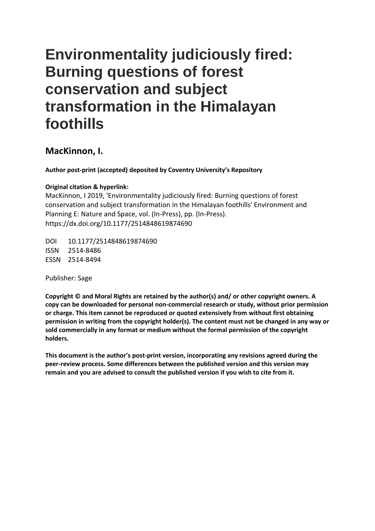## **Environmentality judiciously fired: Burning questions of forest conservation and subject transformation in the Himalayan foothills**

## **MacKinnon, I.**

 **Author post-print (accepted) deposited by Coventry University's Repository** 

### **Original citation & hyperlink:**

 MacKinnon, I 2019, 'Environmentality judiciously fired: Burning questions of forest conservation and subject transformation in the Himalayan foothills' Environment and Planning E: Nature and Space, vol. (In-Press), pp. (In-Press). https://dx.doi.org/10.1177/2514848619874690

DOI 10.1177/2514848619874690 ISSN 2514-8486 ESSN 2514-8494

Publisher: Sage

 **permission in writing from the copyright holder(s). The content must not be changed in any way or Copyright © and Moral Rights are retained by the author(s) and/ or other copyright owners. A copy can be downloaded for personal non-commercial research or study, without prior permission or charge. This item cannot be reproduced or quoted extensively from without first obtaining sold commercially in any format or medium without the formal permission of the copyright holders.** 

**This document is the author's post-print version, incorporating any revisions agreed during the peer-review process. Some differences between the published version and this version may remain and you are advised to consult the published version if you wish to cite from it.**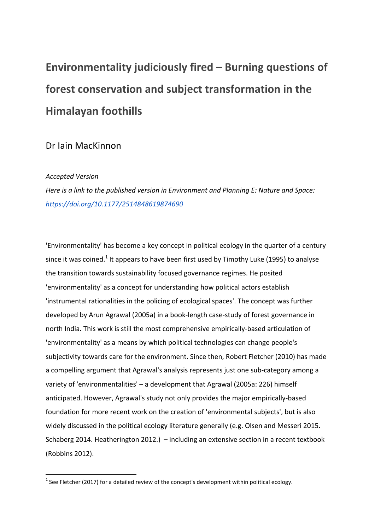# **Environmentality judiciously fired – Burning questions of** forest conservation and subject transformation in the **Himalayan foothills**

### Dr Iain MacKinnon

 

### *Accepted Version*

Here is a link to the published version in Environment and Planning E: Nature and Space: *https://doi.org/10.1177/2514848619874690*

'Environmentality' has become a key concept in political ecology in the quarter of a century since it was coined.<sup>1</sup> It appears to have been first used by Timothy Luke (1995) to analyse the transition towards sustainability focused governance regimes. He posited 'environmentality' as a concept for understanding how political actors establish 'instrumental rationalities in the policing of ecological spaces'. The concept was further developed by Arun Agrawal (2005a) in a book-length case-study of forest governance in north India. This work is still the most comprehensive empirically-based articulation of 'environmentality' as a means by which political technologies can change people's subjectivity towards care for the environment. Since then, Robert Fletcher (2010) has made a compelling argument that Agrawal's analysis represents just one sub-category among a variety of 'environmentalities' - a development that Agrawal (2005a: 226) himself anticipated. However, Agrawal's study not only provides the major empirically-based foundation for more recent work on the creation of 'environmental subjects', but is also widely discussed in the political ecology literature generally (e.g. Olsen and Messeri 2015. Schaberg 2014. Heatherington 2012.) – including an extensive section in a recent textbook (Robbins 2012).

 $^1$  See Fletcher (2017) for a detailed review of the concept's development within political ecology.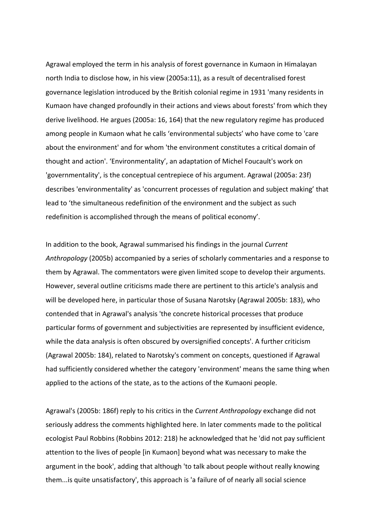Agrawal employed the term in his analysis of forest governance in Kumaon in Himalayan north India to disclose how, in his view (2005a:11), as a result of decentralised forest governance legislation introduced by the British colonial regime in 1931 'many residents in Kumaon have changed profoundly in their actions and views about forests' from which they derive livelihood. He argues (2005a: 16, 164) that the new regulatory regime has produced among people in Kumaon what he calls 'environmental subjects' who have come to 'care about the environment' and for whom 'the environment constitutes a critical domain of thought and action'. 'Environmentality', an adaptation of Michel Foucault's work on 'governmentality', is the conceptual centrepiece of his argument. Agrawal (2005a: 23f) describes 'environmentality' as 'concurrent processes of regulation and subject making' that lead to 'the simultaneous redefinition of the environment and the subject as such redefinition is accomplished through the means of political economy'.

In addition to the book, Agrawal summarised his findings in the journal *Current* Anthropology (2005b) accompanied by a series of scholarly commentaries and a response to them by Agrawal. The commentators were given limited scope to develop their arguments. However, several outline criticisms made there are pertinent to this article's analysis and will be developed here, in particular those of Susana Narotsky (Agrawal 2005b: 183), who contended that in Agrawal's analysis 'the concrete historical processes that produce particular forms of government and subjectivities are represented by insufficient evidence, while the data analysis is often obscured by oversignified concepts'. A further criticism (Agrawal 2005b: 184), related to Narotsky's comment on concepts, questioned if Agrawal had sufficiently considered whether the category 'environment' means the same thing when applied to the actions of the state, as to the actions of the Kumaoni people.

Agrawal's (2005b: 186f) reply to his critics in the *Current Anthropology* exchange did not seriously address the comments highlighted here. In later comments made to the political ecologist Paul Robbins (Robbins 2012: 218) he acknowledged that he 'did not pay sufficient attention to the lives of people [in Kumaon] beyond what was necessary to make the argument in the book', adding that although 'to talk about people without really knowing them...is quite unsatisfactory', this approach is 'a failure of of nearly all social science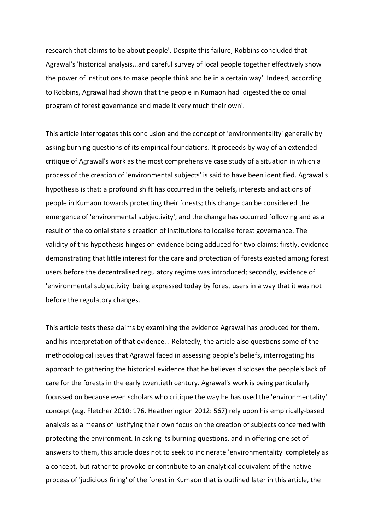research that claims to be about people'. Despite this failure, Robbins concluded that Agrawal's 'historical analysis...and careful survey of local people together effectively show the power of institutions to make people think and be in a certain way'. Indeed, according to Robbins, Agrawal had shown that the people in Kumaon had 'digested the colonial program of forest governance and made it very much their own'.

This article interrogates this conclusion and the concept of 'environmentality' generally by asking burning questions of its empirical foundations. It proceeds by way of an extended critique of Agrawal's work as the most comprehensive case study of a situation in which a process of the creation of 'environmental subjects' is said to have been identified. Agrawal's hypothesis is that: a profound shift has occurred in the beliefs, interests and actions of people in Kumaon towards protecting their forests; this change can be considered the emergence of 'environmental subjectivity'; and the change has occurred following and as a result of the colonial state's creation of institutions to localise forest governance. The validity of this hypothesis hinges on evidence being adduced for two claims: firstly, evidence demonstrating that little interest for the care and protection of forests existed among forest users before the decentralised regulatory regime was introduced; secondly, evidence of 'environmental subjectivity' being expressed today by forest users in a way that it was not before the regulatory changes.

 This article tests these claims by examining the evidence Agrawal has produced for them, and his interpretation of that evidence. . Relatedly, the article also questions some of the methodological issues that Agrawal faced in assessing people's beliefs, interrogating his approach to gathering the historical evidence that he believes discloses the people's lack of care for the forests in the early twentieth century. Agrawal's work is being particularly focussed on because even scholars who critique the way he has used the 'environmentality' concept (e.g. Fletcher 2010: 176. Heatherington 2012: 567) rely upon his empirically-based analysis as a means of justifying their own focus on the creation of subjects concerned with protecting the environment. In asking its burning questions, and in offering one set of answers to them, this article does not to seek to incinerate 'environmentality' completely as a concept, but rather to provoke or contribute to an analytical equivalent of the native process of 'judicious firing' of the forest in Kumaon that is outlined later in this article, the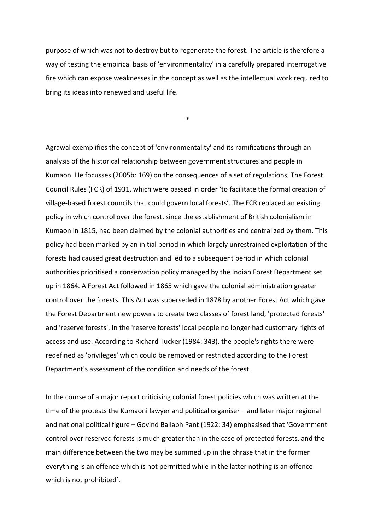purpose of which was not to destroy but to regenerate the forest. The article is therefore a way of testing the empirical basis of 'environmentality' in a carefully prepared interrogative fire which can expose weaknesses in the concept as well as the intellectual work required to bring its ideas into renewed and useful life.

\*

Agrawal exemplifies the concept of 'environmentality' and its ramifications through an analysis of the historical relationship between government structures and people in Kumaon. He focusses (2005b: 169) on the consequences of a set of regulations, The Forest Council Rules (FCR) of 1931, which were passed in order 'to facilitate the formal creation of village-based forest councils that could govern local forests'. The FCR replaced an existing policy in which control over the forest, since the establishment of British colonialism in Kumaon in 1815, had been claimed by the colonial authorities and centralized by them. This policy had been marked by an initial period in which largely unrestrained exploitation of the forests had caused great destruction and led to a subsequent period in which colonial authorities prioritised a conservation policy managed by the Indian Forest Department set up in 1864. A Forest Act followed in 1865 which gave the colonial administration greater control over the forests. This Act was superseded in 1878 by another Forest Act which gave the Forest Department new powers to create two classes of forest land, 'protected forests' and 'reserve forests'. In the 'reserve forests' local people no longer had customary rights of access and use. According to Richard Tucker (1984: 343), the people's rights there were redefined as 'privileges' which could be removed or restricted according to the Forest Department's assessment of the condition and needs of the forest.

In the course of a major report criticising colonial forest policies which was written at the time of the protests the Kumaoni lawyer and political organiser – and later major regional and national political figure – Govind Ballabh Pant (1922: 34) emphasised that 'Government control over reserved forests is much greater than in the case of protected forests, and the main difference between the two may be summed up in the phrase that in the former everything is an offence which is not permitted while in the latter nothing is an offence which is not prohibited'.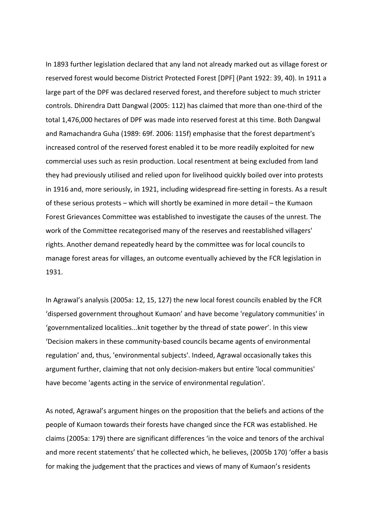In 1893 further legislation declared that any land not already marked out as village forest or reserved forest would become District Protected Forest [DPF] (Pant 1922: 39, 40). In 1911 a large part of the DPF was declared reserved forest, and therefore subject to much stricter controls. Dhirendra Datt Dangwal (2005: 112) has claimed that more than one-third of the total 1,476,000 hectares of DPF was made into reserved forest at this time. Both Dangwal and Ramachandra Guha (1989: 69f. 2006: 115f) emphasise that the forest department's increased control of the reserved forest enabled it to be more readily exploited for new commercial uses such as resin production. Local resentment at being excluded from land they had previously utilised and relied upon for livelihood quickly boiled over into protests in 1916 and, more seriously, in 1921, including widespread fire-setting in forests. As a result of these serious protests – which will shortly be examined in more detail – the Kumaon Forest Grievances Committee was established to investigate the causes of the unrest. The work of the Committee recategorised many of the reserves and reestablished villagers' rights. Another demand repeatedly heard by the committee was for local councils to manage forest areas for villages, an outcome eventually achieved by the FCR legislation in 1931.

In Agrawal's analysis (2005a: 12, 15, 127) the new local forest councils enabled by the FCR 'dispersed government throughout Kumaon' and have become 'regulatory communities' in 'governmentalized localities...knit together by the thread of state power'. In this view 'Decision makers in these community-based councils became agents of environmental regulation' and, thus, 'environmental subjects'. Indeed, Agrawal occasionally takes this argument further, claiming that not only decision-makers but entire 'local communities' have become 'agents acting in the service of environmental regulation'.

As noted, Agrawal's argument hinges on the proposition that the beliefs and actions of the people of Kumaon towards their forests have changed since the FCR was established. He claims (2005a: 179) there are significant differences 'in the voice and tenors of the archival and more recent statements' that he collected which, he believes, (2005b 170) 'offer a basis for making the judgement that the practices and views of many of Kumaon's residents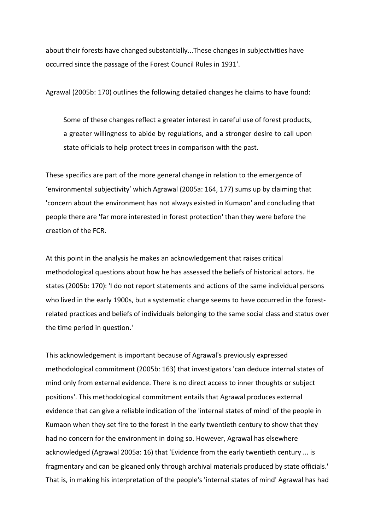about their forests have changed substantially...These changes in subjectivities have occurred since the passage of the Forest Council Rules in 1931'.

Agrawal (2005b: 170) outlines the following detailed changes he claims to have found:

Some of these changes reflect a greater interest in careful use of forest products, a greater willingness to abide by regulations, and a stronger desire to call upon state officials to help protect trees in comparison with the past.

These specifics are part of the more general change in relation to the emergence of 'environmental subjectivity' which Agrawal (2005a: 164, 177) sums up by claiming that 'concern about the environment has not always existed in Kumaon' and concluding that people there are 'far more interested in forest protection' than they were before the creation of the FCR.

At this point in the analysis he makes an acknowledgement that raises critical methodological questions about how he has assessed the beliefs of historical actors. He states (2005b: 170): 'I do not report statements and actions of the same individual persons who lived in the early 1900s, but a systematic change seems to have occurred in the forest- related practices and beliefs of individuals belonging to the same social class and status over the time period in question.'

This acknowledgement is important because of Agrawal's previously expressed methodological commitment (2005b: 163) that investigators 'can deduce internal states of mind only from external evidence. There is no direct access to inner thoughts or subject positions'. This methodological commitment entails that Agrawal produces external evidence that can give a reliable indication of the 'internal states of mind' of the people in Kumaon when they set fire to the forest in the early twentieth century to show that they had no concern for the environment in doing so. However, Agrawal has elsewhere acknowledged (Agrawal 2005a: 16) that 'Evidence from the early twentieth century ... is fragmentary and can be gleaned only through archival materials produced by state officials.' That is, in making his interpretation of the people's 'internal states of mind' Agrawal has had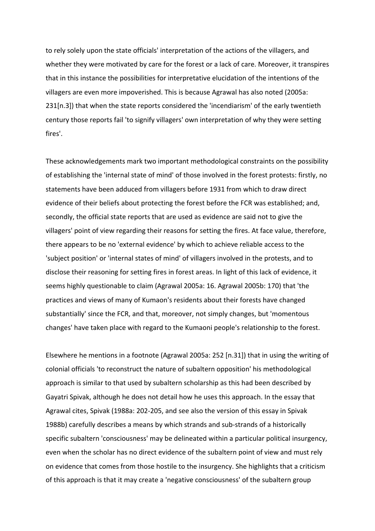to rely solely upon the state officials' interpretation of the actions of the villagers, and whether they were motivated by care for the forest or a lack of care. Moreover, it transpires that in this instance the possibilities for interpretative elucidation of the intentions of the villagers are even more impoverished. This is because Agrawal has also noted (2005a: 231[n.3]) that when the state reports considered the 'incendiarism' of the early twentieth century those reports fail 'to signify villagers' own interpretation of why they were setting fires'. 

These acknowledgements mark two important methodological constraints on the possibility of establishing the 'internal state of mind' of those involved in the forest protests: firstly, no statements have been adduced from villagers before 1931 from which to draw direct evidence of their beliefs about protecting the forest before the FCR was established; and, secondly, the official state reports that are used as evidence are said not to give the villagers' point of view regarding their reasons for setting the fires. At face value, therefore, there appears to be no 'external evidence' by which to achieve reliable access to the 'subject position' or 'internal states of mind' of villagers involved in the protests, and to disclose their reasoning for setting fires in forest areas. In light of this lack of evidence, it seems highly questionable to claim (Agrawal 2005a: 16. Agrawal 2005b: 170) that 'the practices and views of many of Kumaon's residents about their forests have changed substantially' since the FCR, and that, moreover, not simply changes, but 'momentous changes' have taken place with regard to the Kumaoni people's relationship to the forest.

Elsewhere he mentions in a footnote (Agrawal 2005a: 252 [n.31]) that in using the writing of colonial officials 'to reconstruct the nature of subaltern opposition' his methodological approach is similar to that used by subaltern scholarship as this had been described by Gayatri Spivak, although he does not detail how he uses this approach. In the essay that Agrawal cites, Spivak (1988a: 202-205, and see also the version of this essay in Spivak 1988b) carefully describes a means by which strands and sub-strands of a historically specific subaltern 'consciousness' may be delineated within a particular political insurgency, even when the scholar has no direct evidence of the subaltern point of view and must rely on evidence that comes from those hostile to the insurgency. She highlights that a criticism of this approach is that it may create a 'negative consciousness' of the subaltern group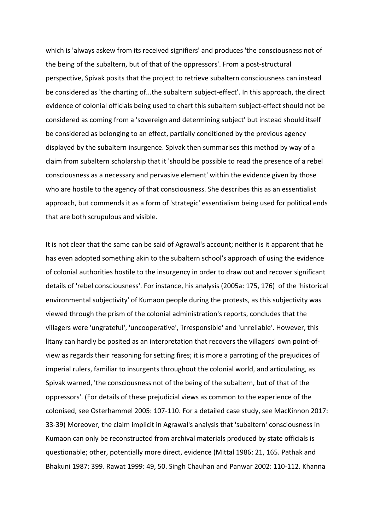which is 'always askew from its received signifiers' and produces 'the consciousness not of the being of the subaltern, but of that of the oppressors'. From a post-structural perspective, Spivak posits that the project to retrieve subaltern consciousness can instead be considered as 'the charting of...the subaltern subject-effect'. In this approach, the direct evidence of colonial officials being used to chart this subaltern subject-effect should not be considered as coming from a 'sovereign and determining subject' but instead should itself be considered as belonging to an effect, partially conditioned by the previous agency displayed by the subaltern insurgence. Spivak then summarises this method by way of a claim from subaltern scholarship that it 'should be possible to read the presence of a rebel consciousness as a necessary and pervasive element' within the evidence given by those who are hostile to the agency of that consciousness. She describes this as an essentialist approach, but commends it as a form of 'strategic' essentialism being used for political ends that are both scrupulous and visible.

It is not clear that the same can be said of Agrawal's account; neither is it apparent that he has even adopted something akin to the subaltern school's approach of using the evidence of colonial authorities hostile to the insurgency in order to draw out and recover significant details of 'rebel consciousness'. For instance, his analysis (2005a: 175, 176) of the 'historical environmental subjectivity' of Kumaon people during the protests, as this subjectivity was viewed through the prism of the colonial administration's reports, concludes that the villagers were 'ungrateful', 'uncooperative', 'irresponsible' and 'unreliable'. However, this litany can hardly be posited as an interpretation that recovers the villagers' own point-ofview as regards their reasoning for setting fires; it is more a parroting of the prejudices of imperial rulers, familiar to insurgents throughout the colonial world, and articulating, as Spivak warned, 'the consciousness not of the being of the subaltern, but of that of the oppressors'. (For details of these prejudicial views as common to the experience of the colonised, see Osterhammel 2005: 107-110. For a detailed case study, see MacKinnon 2017: 33-39) Moreover, the claim implicit in Agrawal's analysis that 'subaltern' consciousness in Kumaon can only be reconstructed from archival materials produced by state officials is questionable; other, potentially more direct, evidence (Mittal 1986: 21, 165. Pathak and Bhakuni 1987: 399. Rawat 1999: 49, 50. Singh Chauhan and Panwar 2002: 110-112. Khanna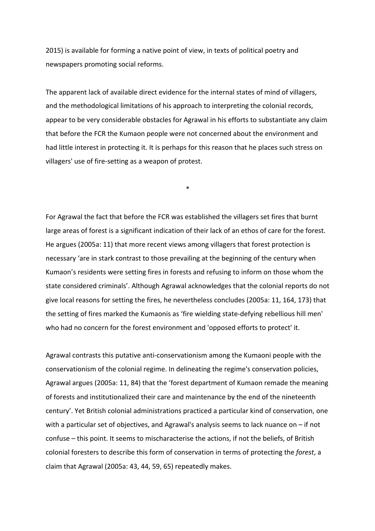2015) is available for forming a native point of view, in texts of political poetry and newspapers promoting social reforms.

The apparent lack of available direct evidence for the internal states of mind of villagers, and the methodological limitations of his approach to interpreting the colonial records, appear to be very considerable obstacles for Agrawal in his efforts to substantiate any claim that before the FCR the Kumaon people were not concerned about the environment and had little interest in protecting it. It is perhaps for this reason that he places such stress on villagers' use of fire-setting as a weapon of protest.

\*

For Agrawal the fact that before the FCR was established the villagers set fires that burnt large areas of forest is a significant indication of their lack of an ethos of care for the forest. He argues (2005a: 11) that more recent views among villagers that forest protection is necessary 'are in stark contrast to those prevailing at the beginning of the century when Kumaon's residents were setting fires in forests and refusing to inform on those whom the state considered criminals'. Although Agrawal acknowledges that the colonial reports do not give local reasons for setting the fires, he nevertheless concludes (2005a: 11, 164, 173) that the setting of fires marked the Kumaonis as 'fire wielding state-defying rebellious hill men' who had no concern for the forest environment and 'opposed efforts to protect' it.

 Agrawal contrasts this putative anti-conservationism among the Kumaoni people with the conservationism of the colonial regime. In delineating the regime's conservation policies, Agrawal argues (2005a: 11, 84) that the 'forest department of Kumaon remade the meaning of forests and institutionalized their care and maintenance by the end of the nineteenth century'. Yet British colonial administrations practiced a particular kind of conservation, one with a particular set of objectives, and Agrawal's analysis seems to lack nuance on – if not confuse – this point. It seems to mischaracterise the actions, if not the beliefs, of British colonial foresters to describe this form of conservation in terms of protecting the *forest*, a claim that Agrawal (2005a: 43, 44, 59, 65) repeatedly makes.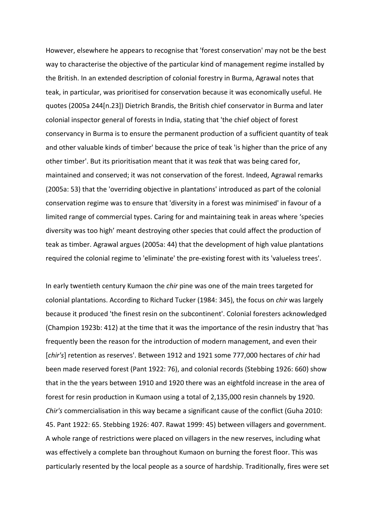However, elsewhere he appears to recognise that 'forest conservation' may not be the best way to characterise the objective of the particular kind of management regime installed by the British. In an extended description of colonial forestry in Burma, Agrawal notes that teak, in particular, was prioritised for conservation because it was economically useful. He quotes (2005a 244[n.23]) Dietrich Brandis, the British chief conservator in Burma and later colonial inspector general of forests in India, stating that 'the chief object of forest conservancy in Burma is to ensure the permanent production of a sufficient quantity of teak and other valuable kinds of timber' because the price of teak 'is higher than the price of any other timber'. But its prioritisation meant that it was *teak* that was being cared for, maintained and conserved; it was not conservation of the forest. Indeed, Agrawal remarks (2005a: 53) that the 'overriding objective in plantations' introduced as part of the colonial conservation regime was to ensure that 'diversity in a forest was minimised' in favour of a limited range of commercial types. Caring for and maintaining teak in areas where 'species diversity was too high' meant destroying other species that could affect the production of teak as timber. Agrawal argues (2005a: 44) that the development of high value plantations required the colonial regime to 'eliminate' the pre-existing forest with its 'valueless trees'.

 In early twentieth century Kumaon the *chir* pine was one of the main trees targeted for colonial plantations. According to Richard Tucker (1984: 345), the focus on *chir* was largely because it produced 'the finest resin on the subcontinent'. Colonial foresters acknowledged (Champion 1923b: 412) at the time that it was the importance of the resin industry that 'has frequently been the reason for the introduction of modern management, and even their [*chir's*] retention as reserves'. Between 1912 and 1921 some 777,000 hectares of *chir* had been made reserved forest (Pant 1922: 76), and colonial records (Stebbing 1926: 660) show that in the the years between 1910 and 1920 there was an eightfold increase in the area of forest for resin production in Kumaon using a total of 2,135,000 resin channels by 1920. Chir's commercialisation in this way became a significant cause of the conflict (Guha 2010: 45. Pant 1922: 65. Stebbing 1926: 407. Rawat 1999: 45) between villagers and government. A whole range of restrictions were placed on villagers in the new reserves, including what was effectively a complete ban throughout Kumaon on burning the forest floor. This was particularly resented by the local people as a source of hardship. Traditionally, fires were set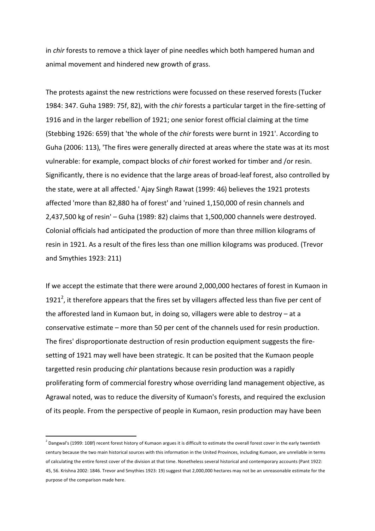in *chir* forests to remove a thick layer of pine needles which both hampered human and animal movement and hindered new growth of grass.

The protests against the new restrictions were focussed on these reserved forests (Tucker 1984: 347. Guha 1989: 75f, 82), with the *chir* forests a particular target in the fire-setting of 1916 and in the larger rebellion of 1921; one senior forest official claiming at the time (Stebbing 1926: 659) that 'the whole of the *chir* forests were burnt in 1921'. According to Guha (2006: 113), 'The fires were generally directed at areas where the state was at its most vulnerable: for example, compact blocks of *chir* forest worked for timber and /or resin. Significantly, there is no evidence that the large areas of broad-leaf forest, also controlled by the state, were at all affected.' Ajay Singh Rawat (1999: 46) believes the 1921 protests affected 'more than 82,880 ha of forest' and 'ruined 1,150,000 of resin channels and 2,437,500 kg of resin' - Guha (1989: 82) claims that 1,500,000 channels were destroyed. Colonial officials had anticipated the production of more than three million kilograms of resin in 1921. As a result of the fires less than one million kilograms was produced. (Trevor and Smythies 1923: 211)

If we accept the estimate that there were around 2,000,000 hectares of forest in Kumaon in 1921<sup>2</sup>, it therefore appears that the fires set by villagers affected less than five per cent of the afforested land in Kumaon but, in doing so, villagers were able to destroy - at a conservative estimate – more than 50 per cent of the channels used for resin production. The fires' disproportionate destruction of resin production equipment suggests the firesetting of 1921 may well have been strategic. It can be posited that the Kumaon people targetted resin producing *chir* plantations because resin production was a rapidly proliferating form of commercial forestry whose overriding land management objective, as Agrawal noted, was to reduce the diversity of Kumaon's forests, and required the exclusion of its people. From the perspective of people in Kumaon, resin production may have been

 

 $^2$  Dangwal's (1999: 108f) recent forest history of Kumaon argues it is difficult to estimate the overall forest cover in the early twentieth century because the two main historical sources with this information in the United Provinces, including Kumaon, are unreliable in terms of calculating the entire forest cover of the division at that time. Nonetheless several historical and contemporary accounts (Pant 1922: 45, 56. Krishna 2002: 1846. Trevor and Smythies 1923: 19) suggest that 2,000,000 hectares may not be an unreasonable estimate for the purpose of the comparison made here.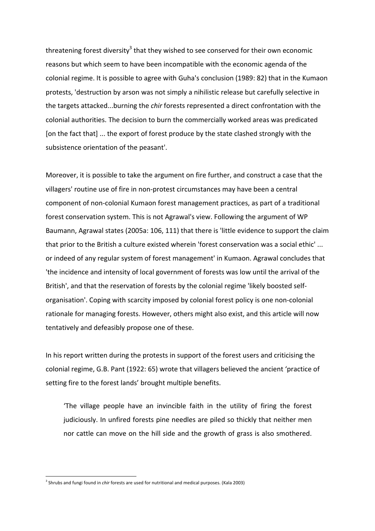threatening forest diversity $^3$  that they wished to see conserved for their own economic reasons but which seem to have been incompatible with the economic agenda of the colonial regime. It is possible to agree with Guha's conclusion (1989: 82) that in the Kumaon protests, 'destruction by arson was not simply a nihilistic release but carefully selective in the targets attacked...burning the *chir* forests represented a direct confrontation with the colonial authorities. The decision to burn the commercially worked areas was predicated [on the fact that] ... the export of forest produce by the state clashed strongly with the subsistence orientation of the peasant'.

Moreover, it is possible to take the argument on fire further, and construct a case that the villagers' routine use of fire in non-protest circumstances may have been a central component of non-colonial Kumaon forest management practices, as part of a traditional forest conservation system. This is not Agrawal's view. Following the argument of WP Baumann, Agrawal states (2005a: 106, 111) that there is 'little evidence to support the claim that prior to the British a culture existed wherein 'forest conservation was a social ethic' ... or indeed of any regular system of forest management' in Kumaon. Agrawal concludes that 'the incidence and intensity of local government of forests was low until the arrival of the British', and that the reservation of forests by the colonial regime 'likely boosted selforganisation'. Coping with scarcity imposed by colonial forest policy is one non-colonial rationale for managing forests. However, others might also exist, and this article will now tentatively and defeasibly propose one of these.

In his report written during the protests in support of the forest users and criticising the colonial regime, G.B. Pant (1922: 65) wrote that villagers believed the ancient 'practice of setting fire to the forest lands' brought multiple benefits.

 'The village people have an invincible faith in the utility of firing the forest judiciously. In unfired forests pine needles are piled so thickly that neither men nor cattle can move on the hill side and the growth of grass is also smothered.

 

<sup>&</sup>lt;sup>3</sup> Shrubs and fungi found in *chir* forests are used for nutritional and medical purposes. (Kala 2003)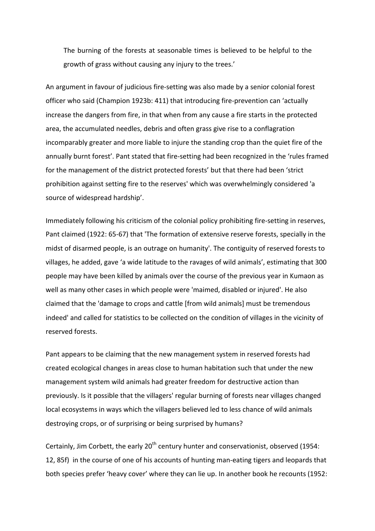The burning of the forests at seasonable times is believed to be helpful to the growth of grass without causing any injury to the trees.'

An argument in favour of judicious fire-setting was also made by a senior colonial forest officer who said (Champion 1923b: 411) that introducing fire-prevention can 'actually increase the dangers from fire, in that when from any cause a fire starts in the protected area, the accumulated needles, debris and often grass give rise to a conflagration incomparably greater and more liable to injure the standing crop than the quiet fire of the annually burnt forest'. Pant stated that fire-setting had been recognized in the 'rules framed for the management of the district protected forests' but that there had been 'strict prohibition against setting fire to the reserves' which was overwhelmingly considered 'a source of widespread hardship'.

 Immediately following his criticism of the colonial policy prohibiting fire-setting in reserves, Pant claimed (1922: 65-67) that 'The formation of extensive reserve forests, specially in the midst of disarmed people, is an outrage on humanity'. The contiguity of reserved forests to villages, he added, gave 'a wide latitude to the ravages of wild animals', estimating that 300 people may have been killed by animals over the course of the previous year in Kumaon as well as many other cases in which people were 'maimed, disabled or injured'. He also claimed that the 'damage to crops and cattle [from wild animals] must be tremendous indeed' and called for statistics to be collected on the condition of villages in the vicinity of reserved forests.

Pant appears to be claiming that the new management system in reserved forests had created ecological changes in areas close to human habitation such that under the new management system wild animals had greater freedom for destructive action than previously. Is it possible that the villagers' regular burning of forests near villages changed local ecosystems in ways which the villagers believed led to less chance of wild animals destroying crops, or of surprising or being surprised by humans?

Certainly, Jim Corbett, the early 20<sup>th</sup> century hunter and conservationist, observed (1954: 12, 85f) in the course of one of his accounts of hunting man-eating tigers and leopards that both species prefer 'heavy cover' where they can lie up. In another book he recounts (1952: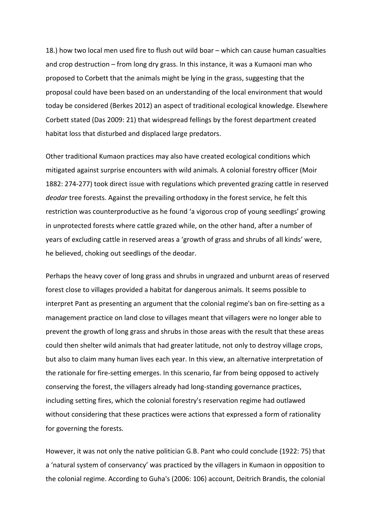18.) how two local men used fire to flush out wild boar – which can cause human casualties and crop destruction – from long dry grass. In this instance, it was a Kumaoni man who proposed to Corbett that the animals might be lying in the grass, suggesting that the proposal could have been based on an understanding of the local environment that would today be considered (Berkes 2012) an aspect of traditional ecological knowledge. Elsewhere Corbett stated (Das 2009: 21) that widespread fellings by the forest department created habitat loss that disturbed and displaced large predators.

 Other traditional Kumaon practices may also have created ecological conditions which mitigated against surprise encounters with wild animals. A colonial forestry officer (Moir 1882: 274-277) took direct issue with regulations which prevented grazing cattle in reserved deodar tree forests. Against the prevailing orthodoxy in the forest service, he felt this restriction was counterproductive as he found 'a vigorous crop of young seedlings' growing in unprotected forests where cattle grazed while, on the other hand, after a number of years of excluding cattle in reserved areas a 'growth of grass and shrubs of all kinds' were, he believed, choking out seedlings of the deodar.

Perhaps the heavy cover of long grass and shrubs in ungrazed and unburnt areas of reserved forest close to villages provided a habitat for dangerous animals. It seems possible to interpret Pant as presenting an argument that the colonial regime's ban on fire-setting as a management practice on land close to villages meant that villagers were no longer able to prevent the growth of long grass and shrubs in those areas with the result that these areas could then shelter wild animals that had greater latitude, not only to destroy village crops, but also to claim many human lives each year. In this view, an alternative interpretation of the rationale for fire-setting emerges. In this scenario, far from being opposed to actively conserving the forest, the villagers already had long-standing governance practices, including setting fires, which the colonial forestry's reservation regime had outlawed without considering that these practices were actions that expressed a form of rationality for governing the forests.

However, it was not only the native politician G.B. Pant who could conclude (1922: 75) that a 'natural system of conservancy' was practiced by the villagers in Kumaon in opposition to the colonial regime. According to Guha's (2006: 106) account, Deitrich Brandis, the colonial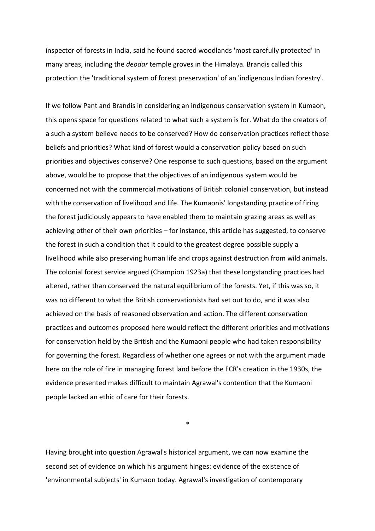inspector of forests in India, said he found sacred woodlands 'most carefully protected' in many areas, including the *deodar* temple groves in the Himalaya. Brandis called this protection the 'traditional system of forest preservation' of an 'indigenous Indian forestry'.

If we follow Pant and Brandis in considering an indigenous conservation system in Kumaon, this opens space for questions related to what such a system is for. What do the creators of a such a system believe needs to be conserved? How do conservation practices reflect those beliefs and priorities? What kind of forest would a conservation policy based on such priorities and objectives conserve? One response to such questions, based on the argument above, would be to propose that the objectives of an indigenous system would be concerned not with the commercial motivations of British colonial conservation, but instead with the conservation of livelihood and life. The Kumaonis' longstanding practice of firing the forest judiciously appears to have enabled them to maintain grazing areas as well as achieving other of their own priorities – for instance, this article has suggested, to conserve the forest in such a condition that it could to the greatest degree possible supply a livelihood while also preserving human life and crops against destruction from wild animals. The colonial forest service argued (Champion 1923a) that these longstanding practices had altered, rather than conserved the natural equilibrium of the forests. Yet, if this was so, it was no different to what the British conservationists had set out to do, and it was also achieved on the basis of reasoned observation and action. The different conservation practices and outcomes proposed here would reflect the different priorities and motivations for conservation held by the British and the Kumaoni people who had taken responsibility for governing the forest. Regardless of whether one agrees or not with the argument made here on the role of fire in managing forest land before the FCR's creation in the 1930s, the evidence presented makes difficult to maintain Agrawal's contention that the Kumaoni people lacked an ethic of care for their forests.

Having brought into question Agrawal's historical argument, we can now examine the second set of evidence on which his argument hinges: evidence of the existence of 'environmental subjects' in Kumaon today. Agrawal's investigation of contemporary

\*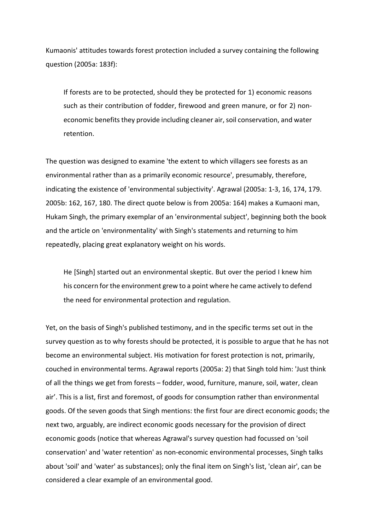Kumaonis' attitudes towards forest protection included a survey containing the following question (2005a: 183f):

 If forests are to be protected, should they be protected for 1) economic reasons such as their contribution of fodder, firewood and green manure, or for 2) noneconomic benefits they provide including cleaner air, soil conservation, and water retention.

 The question was designed to examine 'the extent to which villagers see forests as an environmental rather than as a primarily economic resource', presumably, therefore, indicating the existence of 'environmental subjectivity'. Agrawal (2005a: 1-3, 16, 174, 179. 2005b: 162, 167, 180. The direct quote below is from 2005a: 164) makes a Kumaoni man, Hukam Singh, the primary exemplar of an 'environmental subject', beginning both the book and the article on 'environmentality' with Singh's statements and returning to him repeatedly, placing great explanatory weight on his words.

He [Singh] started out an environmental skeptic. But over the period I knew him his concern for the environment grew to a point where he came actively to defend the need for environmental protection and regulation.

Yet, on the basis of Singh's published testimony, and in the specific terms set out in the survey question as to why forests should be protected, it is possible to argue that he has not become an environmental subject. His motivation for forest protection is not, primarily, couched in environmental terms. Agrawal reports (2005a: 2) that Singh told him: 'Just think of all the things we get from forests – fodder, wood, furniture, manure, soil, water, clean air'. This is a list, first and foremost, of goods for consumption rather than environmental goods. Of the seven goods that Singh mentions: the first four are direct economic goods; the next two, arguably, are indirect economic goods necessary for the provision of direct economic goods (notice that whereas Agrawal's survey question had focussed on 'soil conservation' and 'water retention' as non-economic environmental processes, Singh talks about 'soil' and 'water' as substances); only the final item on Singh's list, 'clean air', can be considered a clear example of an environmental good.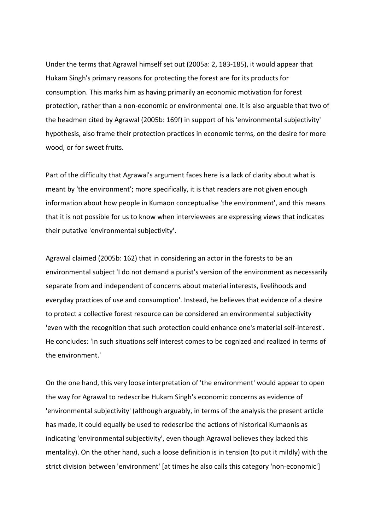Under the terms that Agrawal himself set out (2005a: 2, 183-185), it would appear that Hukam Singh's primary reasons for protecting the forest are for its products for consumption. This marks him as having primarily an economic motivation for forest protection, rather than a non-economic or environmental one. It is also arguable that two of the headmen cited by Agrawal (2005b: 169f) in support of his 'environmental subjectivity' hypothesis, also frame their protection practices in economic terms, on the desire for more wood, or for sweet fruits.

Part of the difficulty that Agrawal's argument faces here is a lack of clarity about what is meant by 'the environment'; more specifically, it is that readers are not given enough information about how people in Kumaon conceptualise 'the environment', and this means that it is not possible for us to know when interviewees are expressing views that indicates their putative 'environmental subjectivity'.

Agrawal claimed (2005b: 162) that in considering an actor in the forests to be an environmental subject 'I do not demand a purist's version of the environment as necessarily separate from and independent of concerns about material interests, livelihoods and everyday practices of use and consumption'. Instead, he believes that evidence of a desire to protect a collective forest resource can be considered an environmental subjectivity 'even with the recognition that such protection could enhance one's material self-interest'. He concludes: 'In such situations self interest comes to be cognized and realized in terms of the environment.'

 On the one hand, this very loose interpretation of 'the environment' would appear to open the way for Agrawal to redescribe Hukam Singh's economic concerns as evidence of 'environmental subjectivity' (although arguably, in terms of the analysis the present article has made, it could equally be used to redescribe the actions of historical Kumaonis as indicating 'environmental subjectivity', even though Agrawal believes they lacked this mentality). On the other hand, such a loose definition is in tension (to put it mildly) with the strict division between 'environment' [at times he also calls this category 'non-economic']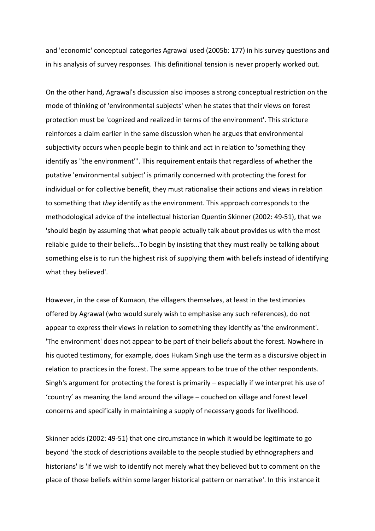and 'economic' conceptual categories Agrawal used (2005b: 177) in his survey questions and in his analysis of survey responses. This definitional tension is never properly worked out.

On the other hand, Agrawal's discussion also imposes a strong conceptual restriction on the mode of thinking of 'environmental subjects' when he states that their views on forest protection must be 'cognized and realized in terms of the environment'. This stricture reinforces a claim earlier in the same discussion when he argues that environmental subjectivity occurs when people begin to think and act in relation to 'something they identify as "the environment"'. This requirement entails that regardless of whether the putative 'environmental subject' is primarily concerned with protecting the forest for individual or for collective benefit, they must rationalise their actions and views in relation to something that *they* identify as the environment. This approach corresponds to the methodological advice of the intellectual historian Quentin Skinner (2002: 49-51), that we 'should begin by assuming that what people actually talk about provides us with the most reliable guide to their beliefs...To begin by insisting that they must really be talking about something else is to run the highest risk of supplying them with beliefs instead of identifying what they believed'.

However, in the case of Kumaon, the villagers themselves, at least in the testimonies offered by Agrawal (who would surely wish to emphasise any such references), do not appear to express their views in relation to something they identify as 'the environment'. 'The environment' does not appear to be part of their beliefs about the forest. Nowhere in his quoted testimony, for example, does Hukam Singh use the term as a discursive object in relation to practices in the forest. The same appears to be true of the other respondents. Singh's argument for protecting the forest is primarily – especially if we interpret his use of 'country' as meaning the land around the village - couched on village and forest level concerns and specifically in maintaining a supply of necessary goods for livelihood.

Skinner adds (2002: 49-51) that one circumstance in which it would be legitimate to go beyond 'the stock of descriptions available to the people studied by ethnographers and historians' is 'if we wish to identify not merely what they believed but to comment on the place of those beliefs within some larger historical pattern or narrative'. In this instance it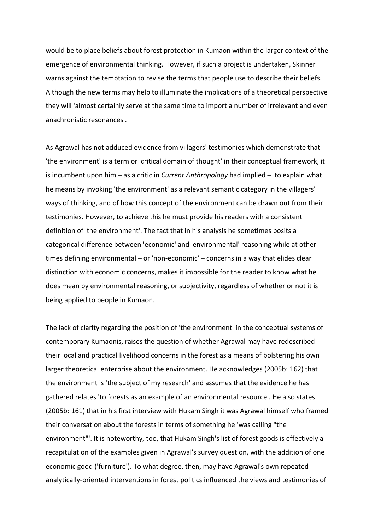would be to place beliefs about forest protection in Kumaon within the larger context of the emergence of environmental thinking. However, if such a project is undertaken, Skinner warns against the temptation to revise the terms that people use to describe their beliefs. Although the new terms may help to illuminate the implications of a theoretical perspective they will 'almost certainly serve at the same time to import a number of irrelevant and even anachronistic resonances'.

As Agrawal has not adduced evidence from villagers' testimonies which demonstrate that 'the environment' is a term or 'critical domain of thought' in their conceptual framework, it is incumbent upon him – as a critic in *Current Anthropology* had implied – to explain what he means by invoking 'the environment' as a relevant semantic category in the villagers' ways of thinking, and of how this concept of the environment can be drawn out from their testimonies. However, to achieve this he must provide his readers with a consistent definition of 'the environment'. The fact that in his analysis he sometimes posits a categorical difference between 'economic' and 'environmental' reasoning while at other times defining environmental – or 'non-economic' – concerns in a way that elides clear distinction with economic concerns, makes it impossible for the reader to know what he does mean by environmental reasoning, or subjectivity, regardless of whether or not it is being applied to people in Kumaon.

 The lack of clarity regarding the position of 'the environment' in the conceptual systems of contemporary Kumaonis, raises the question of whether Agrawal may have redescribed their local and practical livelihood concerns in the forest as a means of bolstering his own larger theoretical enterprise about the environment. He acknowledges (2005b: 162) that the environment is 'the subject of my research' and assumes that the evidence he has gathered relates 'to forests as an example of an environmental resource'. He also states (2005b: 161) that in his first interview with Hukam Singh it was Agrawal himself who framed their conversation about the forests in terms of something he 'was calling "the environment"'. It is noteworthy, too, that Hukam Singh's list of forest goods is effectively a recapitulation of the examples given in Agrawal's survey question, with the addition of one economic good ('furniture'). To what degree, then, may have Agrawal's own repeated analytically-oriented interventions in forest politics influenced the views and testimonies of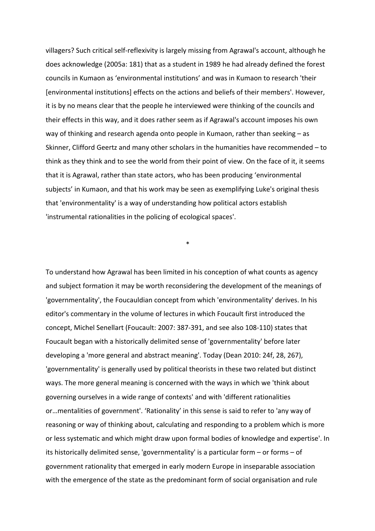villagers? Such critical self-reflexivity is largely missing from Agrawal's account, although he does acknowledge (2005a: 181) that as a student in 1989 he had already defined the forest councils in Kumaon as 'environmental institutions' and was in Kumaon to research 'their [environmental institutions] effects on the actions and beliefs of their members'. However, it is by no means clear that the people he interviewed were thinking of the councils and their effects in this way, and it does rather seem as if Agrawal's account imposes his own way of thinking and research agenda onto people in Kumaon, rather than seeking – as Skinner, Clifford Geertz and many other scholars in the humanities have recommended – to think as they think and to see the world from their point of view. On the face of it, it seems that it is Agrawal, rather than state actors, who has been producing 'environmental subjects' in Kumaon, and that his work may be seen as exemplifying Luke's original thesis that 'environmentality' is a way of understanding how political actors establish 'instrumental rationalities in the policing of ecological spaces'.

\*

To understand how Agrawal has been limited in his conception of what counts as agency and subject formation it may be worth reconsidering the development of the meanings of 'governmentality', the Foucauldian concept from which 'environmentality' derives. In his editor's commentary in the volume of lectures in which Foucault first introduced the concept, Michel Senellart (Foucault: 2007: 387-391, and see also 108-110) states that Foucault began with a historically delimited sense of 'governmentality' before later developing a 'more general and abstract meaning'. Today (Dean 2010: 24f, 28, 267), 'governmentality' is generally used by political theorists in these two related but distinct ways. The more general meaning is concerned with the ways in which we 'think about governing ourselves in a wide range of contexts' and with 'different rationalities or...mentalities of government'. 'Rationality' in this sense is said to refer to 'any way of reasoning or way of thinking about, calculating and responding to a problem which is more or less systematic and which might draw upon formal bodies of knowledge and expertise'. In its historically delimited sense, 'governmentality' is a particular form – or forms – of government rationality that emerged in early modern Europe in inseparable association with the emergence of the state as the predominant form of social organisation and rule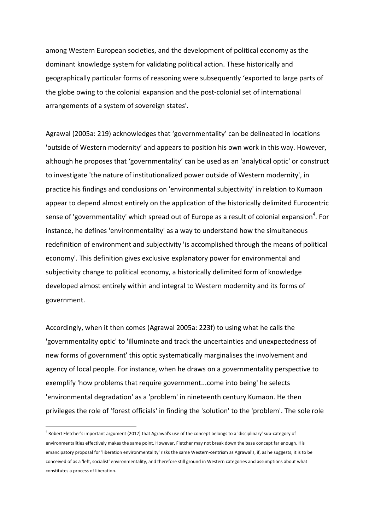among Western European societies, and the development of political economy as the dominant knowledge system for validating political action. These historically and geographically particular forms of reasoning were subsequently 'exported to large parts of the globe owing to the colonial expansion and the post-colonial set of international arrangements of a system of sovereign states'.

Agrawal (2005a: 219) acknowledges that 'governmentality' can be delineated in locations 'outside of Western modernity' and appears to position his own work in this way. However, although he proposes that 'governmentality' can be used as an 'analytical optic' or construct to investigate 'the nature of institutionalized power outside of Western modernity', in practice his findings and conclusions on 'environmental subjectivity' in relation to Kumaon appear to depend almost entirely on the application of the historically delimited Eurocentric sense of 'governmentality' which spread out of Europe as a result of colonial expansion $^4$ . For instance, he defines 'environmentality' as a way to understand how the simultaneous redefinition of environment and subjectivity 'is accomplished through the means of political economy'. This definition gives exclusive explanatory power for environmental and subjectivity change to political economy, a historically delimited form of knowledge developed almost entirely within and integral to Western modernity and its forms of government.

Accordingly, when it then comes (Agrawal 2005a: 223f) to using what he calls the 'governmentality optic' to 'illuminate and track the uncertainties and unexpectedness of new forms of government' this optic systematically marginalises the involvement and agency of local people. For instance, when he draws on a governmentality perspective to exemplify 'how problems that require government...come into being' he selects 'environmental degradation' as a 'problem' in nineteenth century Kumaon. He then privileges the role of 'forest officials' in finding the 'solution' to the 'problem'. The sole role

 

 $^4$  Robert Fletcher's important argument (2017) that Agrawal's use of the concept belongs to a 'disciplinary' sub-category of environmentalities effectively makes the same point. However, Fletcher may not break down the base concept far enough. His emancipatory proposal for 'liberation environmentality' risks the same Western-centrism as Agrawal's, if, as he suggests, it is to be conceived of as a 'left, socialist' environmentality, and therefore still ground in Western categories and assumptions about what constitutes a process of liberation.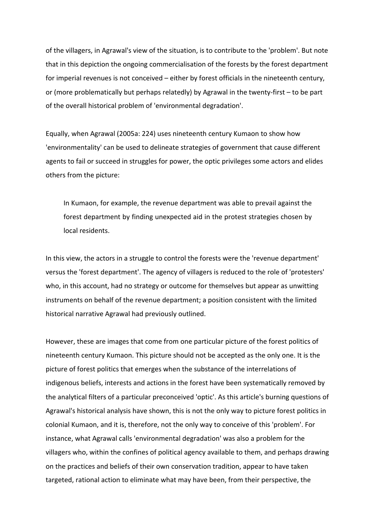of the villagers, in Agrawal's view of the situation, is to contribute to the 'problem'. But note that in this depiction the ongoing commercialisation of the forests by the forest department for imperial revenues is not conceived  $-$  either by forest officials in the nineteenth century, or (more problematically but perhaps relatedly) by Agrawal in the twenty-first - to be part of the overall historical problem of 'environmental degradation'.

 Equally, when Agrawal (2005a: 224) uses nineteenth century Kumaon to show how 'environmentality' can be used to delineate strategies of government that cause different agents to fail or succeed in struggles for power, the optic privileges some actors and elides others from the picture:

In Kumaon, for example, the revenue department was able to prevail against the forest department by finding unexpected aid in the protest strategies chosen by local residents.

In this view, the actors in a struggle to control the forests were the 'revenue department' versus the 'forest department'. The agency of villagers is reduced to the role of 'protesters' who, in this account, had no strategy or outcome for themselves but appear as unwitting instruments on behalf of the revenue department; a position consistent with the limited historical narrative Agrawal had previously outlined.

However, these are images that come from one particular picture of the forest politics of nineteenth century Kumaon. This picture should not be accepted as the only one. It is the picture of forest politics that emerges when the substance of the interrelations of indigenous beliefs, interests and actions in the forest have been systematically removed by the analytical filters of a particular preconceived 'optic'. As this article's burning questions of Agrawal's historical analysis have shown, this is not the only way to picture forest politics in colonial Kumaon, and it is, therefore, not the only way to conceive of this 'problem'. For instance, what Agrawal calls 'environmental degradation' was also a problem for the villagers who, within the confines of political agency available to them, and perhaps drawing on the practices and beliefs of their own conservation tradition, appear to have taken targeted, rational action to eliminate what may have been, from their perspective, the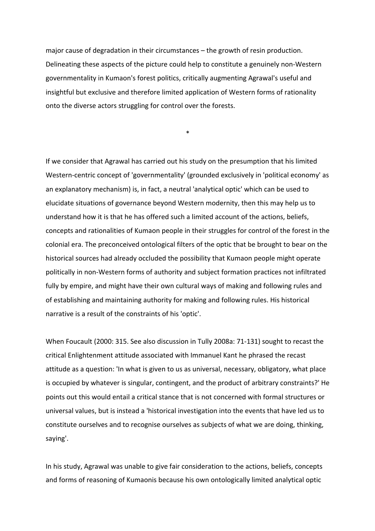major cause of degradation in their circumstances – the growth of resin production. Delineating these aspects of the picture could help to constitute a genuinely non-Western governmentality in Kumaon's forest politics, critically augmenting Agrawal's useful and insightful but exclusive and therefore limited application of Western forms of rationality onto the diverse actors struggling for control over the forests.

\*

If we consider that Agrawal has carried out his study on the presumption that his limited Western-centric concept of 'governmentality' (grounded exclusively in 'political economy' as an explanatory mechanism) is, in fact, a neutral 'analytical optic' which can be used to elucidate situations of governance beyond Western modernity, then this may help us to understand how it is that he has offered such a limited account of the actions, beliefs, concepts and rationalities of Kumaon people in their struggles for control of the forest in the colonial era. The preconceived ontological filters of the optic that be brought to bear on the historical sources had already occluded the possibility that Kumaon people might operate politically in non-Western forms of authority and subject formation practices not infiltrated fully by empire, and might have their own cultural ways of making and following rules and of establishing and maintaining authority for making and following rules. His historical narrative is a result of the constraints of his 'optic'.

When Foucault (2000: 315. See also discussion in Tully 2008a: 71-131) sought to recast the critical Enlightenment attitude associated with Immanuel Kant he phrased the recast attitude as a question: 'In what is given to us as universal, necessary, obligatory, what place is occupied by whatever is singular, contingent, and the product of arbitrary constraints?' He points out this would entail a critical stance that is not concerned with formal structures or universal values, but is instead a 'historical investigation into the events that have led us to constitute ourselves and to recognise ourselves as subjects of what we are doing, thinking, saying'.

 In his study, Agrawal was unable to give fair consideration to the actions, beliefs, concepts and forms of reasoning of Kumaonis because his own ontologically limited analytical optic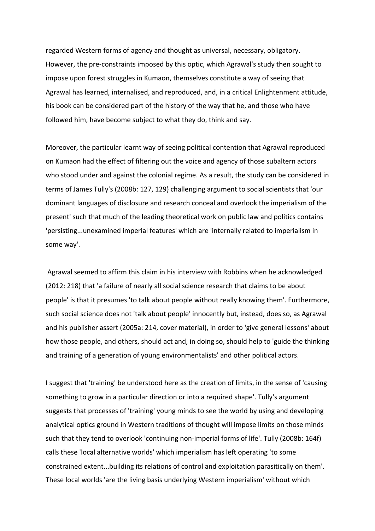regarded Western forms of agency and thought as universal, necessary, obligatory. However, the pre-constraints imposed by this optic, which Agrawal's study then sought to impose upon forest struggles in Kumaon, themselves constitute a way of seeing that Agrawal has learned, internalised, and reproduced, and, in a critical Enlightenment attitude, his book can be considered part of the history of the way that he, and those who have followed him, have become subject to what they do, think and say.

Moreover, the particular learnt way of seeing political contention that Agrawal reproduced on Kumaon had the effect of filtering out the voice and agency of those subaltern actors who stood under and against the colonial regime. As a result, the study can be considered in terms of James Tully's (2008b: 127, 129) challenging argument to social scientists that 'our dominant languages of disclosure and research conceal and overlook the imperialism of the present' such that much of the leading theoretical work on public law and politics contains 'persisting...unexamined imperial features' which are 'internally related to imperialism in some way'.

 Agrawal seemed to affirm this claim in his interview with Robbins when he acknowledged (2012: 218) that 'a failure of nearly all social science research that claims to be about people' is that it presumes 'to talk about people without really knowing them'. Furthermore, such social science does not 'talk about people' innocently but, instead, does so, as Agrawal and his publisher assert (2005a: 214, cover material), in order to 'give general lessons' about how those people, and others, should act and, in doing so, should help to 'guide the thinking and training of a generation of young environmentalists' and other political actors.

I suggest that 'training' be understood here as the creation of limits, in the sense of 'causing something to grow in a particular direction or into a required shape'. Tully's argument suggests that processes of 'training' young minds to see the world by using and developing analytical optics ground in Western traditions of thought will impose limits on those minds such that they tend to overlook 'continuing non-imperial forms of life'. Tully (2008b: 164f) calls these 'local alternative worlds' which imperialism has left operating 'to some constrained extent...building its relations of control and exploitation parasitically on them'. These local worlds 'are the living basis underlying Western imperialism' without which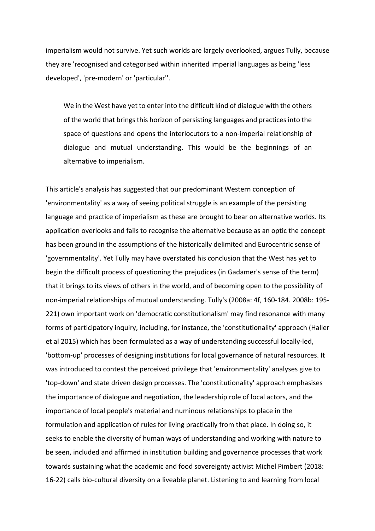imperialism would not survive. Yet such worlds are largely overlooked, argues Tully, because they are 'recognised and categorised within inherited imperial languages as being 'less developed', 'pre-modern' or 'particular''.

We in the West have yet to enter into the difficult kind of dialogue with the others of the world that brings this horizon of persisting languages and practices into the space of questions and opens the interlocutors to a non-imperial relationship of dialogue and mutual understanding. This would be the beginnings of an alternative to imperialism.

This article's analysis has suggested that our predominant Western conception of 'environmentality' as a way of seeing political struggle is an example of the persisting language and practice of imperialism as these are brought to bear on alternative worlds. Its application overlooks and fails to recognise the alternative because as an optic the concept has been ground in the assumptions of the historically delimited and Eurocentric sense of 'governmentality'. Yet Tully may have overstated his conclusion that the West has yet to begin the difficult process of questioning the prejudices (in Gadamer's sense of the term) that it brings to its views of others in the world, and of becoming open to the possibility of non-imperial relationships of mutual understanding. Tully's (2008a: 4f, 160-184. 2008b: 195-221) own important work on 'democratic constitutionalism' may find resonance with many forms of participatory inquiry, including, for instance, the 'constitutionality' approach (Haller et al 2015) which has been formulated as a way of understanding successful locally-led, 'bottom-up' processes of designing institutions for local governance of natural resources. It was introduced to contest the perceived privilege that 'environmentality' analyses give to 'top-down' and state driven design processes. The 'constitutionality' approach emphasises the importance of dialogue and negotiation, the leadership role of local actors, and the importance of local people's material and numinous relationships to place in the formulation and application of rules for living practically from that place. In doing so, it seeks to enable the diversity of human ways of understanding and working with nature to be seen, included and affirmed in institution building and governance processes that work towards sustaining what the academic and food sovereignty activist Michel Pimbert (2018: 16-22) calls bio-cultural diversity on a liveable planet. Listening to and learning from local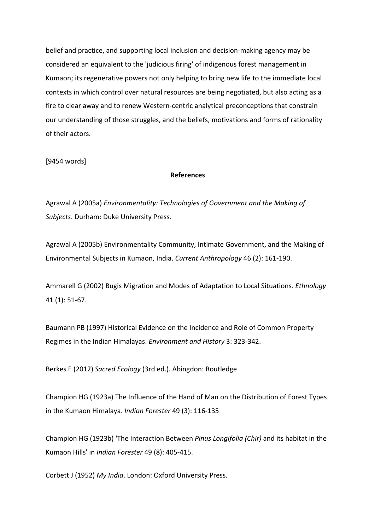belief and practice, and supporting local inclusion and decision-making agency may be considered an equivalent to the 'judicious firing' of indigenous forest management in Kumaon; its regenerative powers not only helping to bring new life to the immediate local contexts in which control over natural resources are being negotiated, but also acting as a fire to clear away and to renew Western-centric analytical preconceptions that constrain our understanding of those struggles, and the beliefs, motivations and forms of rationality of their actors.

[9454 words]

#### **References**

 Agrawal A (2005a) *Environmentality: Technologies of Government and the Making of Subjects*. Durham: Duke University Press.

Agrawal A (2005b) Environmentality Community, Intimate Government, and the Making of Environmental Subjects in Kumaon, India. *Current Anthropology* 46 (2): 161-190.

 Ammarell G (2002) Bugis Migration and Modes of Adaptation to Local Situations. *Ethnology* 41 (1): 51-67.

Baumann PB (1997) Historical Evidence on the Incidence and Role of Common Property Regimes in the Indian Himalayas. *Environment and History* 3: 323-342.

Berkes F (2012) Sacred *Ecology* (3rd ed.). Abingdon: Routledge

 Champion HG (1923a) The Influence of the Hand of Man on the Distribution of Forest Types in the Kumaon Himalaya. *Indian Forester* 49 (3): 116-135

Champion HG (1923b) 'The Interaction Between *Pinus Longifolia (Chir)* and its habitat in the Kumaon Hills' in *Indian Forester* 49 (8): 405-415.

Corbett J (1952) My India. London: Oxford University Press.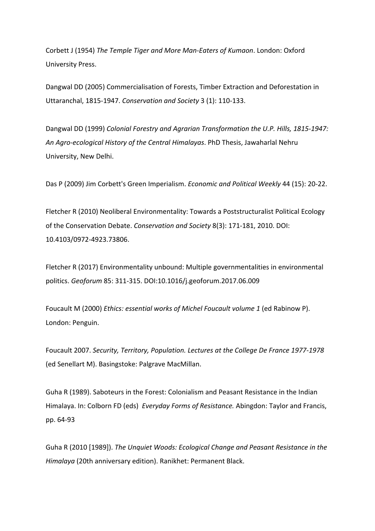Corbett J (1954) *The Temple Tiger and More Man-Eaters of Kumaon*. London: Oxford University Press.

Dangwal DD (2005) Commercialisation of Forests, Timber Extraction and Deforestation in  Uttaranchal, 1815-1947. *Conservation and Society* 3 (1): 110-133.

 Dangwal DD (1999) *Colonial Forestry and Agrarian Transformation the U.P. Hills, 1815-1947: An Agro-ecological History of the Central Himalayas*. PhD Thesis, Jawaharlal Nehru University, New Delhi.

Das P (2009) Jim Corbett's Green Imperialism. *Economic and Political Weekly* 44 (15): 20-22.

Fletcher R (2010) Neoliberal Environmentality: Towards a Poststructuralist Political Ecology of the Conservation Debate. *Conservation and Society* 8(3): 171-181, 2010. DOI: 10.4103/0972-4923.73806.

Fletcher R (2017) Environmentality unbound: Multiple governmentalities in environmental politics. *Geoforum* 85: 311-315. DOI:10.1016/j.geoforum.2017.06.009

 Foucault M (2000) *Ethics: essential works of Michel Foucault volume 1* (ed Rabinow P). London: Penguin.

 Foucault 2007. *Security, Territory, Population. Lectures at the College De France 1977-1978* (ed Senellart M). Basingstoke: Palgrave MacMillan.

Guha R (1989). Saboteurs in the Forest: Colonialism and Peasant Resistance in the Indian  Himalaya. In: Colborn FD (eds) *Everyday Forms of Resistance.* Abingdon: Taylor and Francis, pp. 64-93

  Guha R (2010 [1989]). *The Unquiet Woods: Ecological Change and Peasant Resistance in the Himalaya* (20th anniversary edition). Ranikhet: Permanent Black.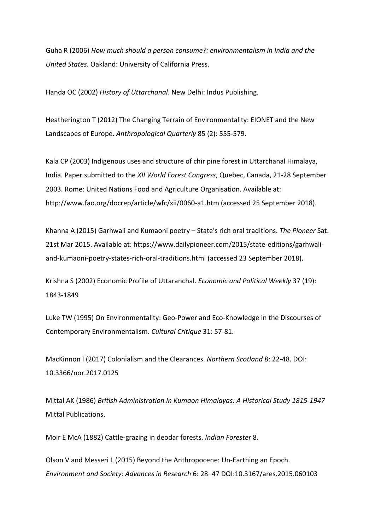Guha R (2006) *How much should a person consume?: environmentalism in India and the United States*. Oakland: University of California Press.

Handa OC (2002) History of Uttarchanal. New Delhi: Indus Publishing.

 Heatherington T (2012) The Changing Terrain of Environmentality: EIONET and the New Landscapes of Europe. Anthropological Quarterly 85 (2): 555-579.

Kala CP (2003) Indigenous uses and structure of chir pine forest in Uttarchanal Himalaya, India. Paper submitted to the *XII World Forest Congress*, Quebec, Canada, 21-28 September 2003. Rome: United Nations Food and Agriculture Organisation. Available at: http://www.fao.org/docrep/article/wfc/xii/0060-a1.htm (accessed 25 September 2018).

Khanna A (2015) Garhwali and Kumaoni poetry - State's rich oral traditions. *The Pioneer* Sat. 21st Mar 2015. Available at: https://www.dailypioneer.com/2015/state-editions/garhwali- and-kumaoni-poetry-states-rich-oral-traditions.html (accessed 23 September 2018).

  Krishna S (2002) Economic Profile of Uttaranchal. *Economic and Political Weekly* 37 (19): 1843-1849 

Luke TW (1995) On Environmentality: Geo-Power and Eco-Knowledge in the Discourses of Contemporary Environmentalism. *Cultural Critique* 31: 57-81.

MacKinnon I (2017) Colonialism and the Clearances. *Northern Scotland* 8: 22-48. DOI: 10.3366/nor.2017.0125

  Mittal AK (1986) *British Administration in Kumaon Himalayas: A Historical Study 1815-1947* Mittal Publications.

 Moir E McA (1882) Cattle-grazing in deodar forests. *Indian Forester* 8.

Olson V and Messeri L (2015) Beyond the Anthropocene: Un-Earthing an Epoch.  *Environment and Society: Advances in Research* 6: 28–47 DOI:10.3167/ares.2015.060103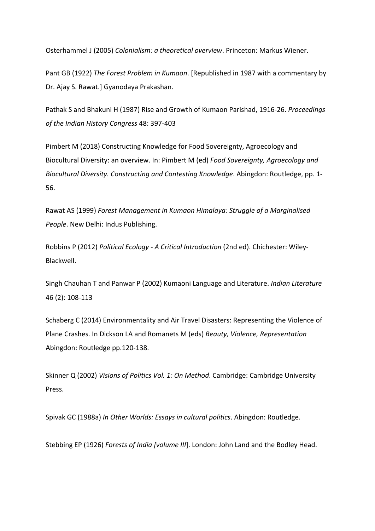Osterhammel J (2005) *Colonialism: a theoretical overview*. Princeton: Markus Wiener.

Pant GB (1922) *The Forest Problem in Kumaon*. [Republished in 1987 with a commentary by Dr. Ajay S. Rawat.] Gyanodaya Prakashan.

Pathak S and Bhakuni H (1987) Rise and Growth of Kumaon Parishad, 1916-26. *Proceedings of the Indian History Congress* 48: 397-403

Pimbert M (2018) Constructing Knowledge for Food Sovereignty, Agroecology and  Biocultural Diversity: an overview. In: Pimbert M (ed) *Food Sovereignty, Agroecology and Biocultural Diversity. Constructing and Contesting Knowledge*. Abingdon: Routledge, pp. 1- 56.

 Rawat AS (1999) *Forest Management in Kumaon Himalaya: Struggle of a Marginalised People*. New Delhi: Indus Publishing.

  Robbins P (2012) *Political Ecology - A Critical Introduction* (2nd ed). Chichester: Wiley-Blackwell.

 Singh Chauhan T and Panwar P (2002) Kumaoni Language and Literature. *Indian Literature* 46 (2): 108-113

Schaberg C (2014) Environmentality and Air Travel Disasters: Representing the Violence of  Plane Crashes. In Dickson LA and Romanets M (eds) *Beauty, Violence, Representation* Abingdon: Routledge pp.120-138.

 Skinner Q (2002) *Visions of Politics Vol. 1: On Method*. Cambridge: Cambridge University Press.

  Spivak GC (1988a) *In Other Worlds: Essays in cultural politics*. Abingdon: Routledge.

Stebbing EP (1926) *Forests of India [volume III*]. London: John Land and the Bodley Head.